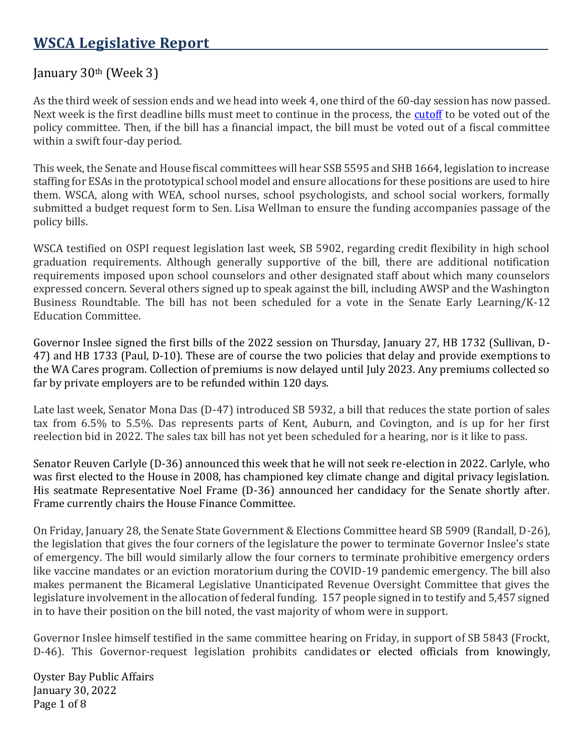## January  $30<sup>th</sup>$  (Week 3)

As the third week of session ends and we head into week 4, one third of the 60-day session has now passed. Next week is the first deadline bills must meet to continue in the process, the [cutoff](https://leg.wa.gov/legislature/Pages/Calendar.aspx) to be voted out of the policy committee. Then, if the bill has a financial impact, the bill must be voted out of a fiscal committee within a swift four-day period.

This week, the Senate and House fiscal committees will hear SSB 5595 and SHB 1664, legislation to increase staffing for ESAs in the prototypical school model and ensure allocations for these positions are used to hire them. WSCA, along with WEA, school nurses, school psychologists, and school social workers, formally submitted a budget request form to Sen. Lisa Wellman to ensure the funding accompanies passage of the policy bills.

WSCA testified on OSPI request legislation last week, SB 5902, regarding credit flexibility in high school graduation requirements. Although generally supportive of the bill, there are additional notification requirements imposed upon school counselors and other designated staff about which many counselors expressed concern. Several others signed up to speak against the bill, including AWSP and the Washington Business Roundtable. The bill has not been scheduled for a vote in the Senate Early Learning/K-12 Education Committee.

Governor Inslee signed the first bills of the 2022 session on Thursday, January 27, HB 1732 (Sullivan, D-47) and HB 1733 (Paul, D-10). These are of course the two policies that delay and provide exemptions to the WA Cares program. Collection of premiums is now delayed until July 2023. Any premiums collected so far by private employers are to be refunded within 120 days.

Late last week, Senator Mona Das (D-47) introduced SB 5932, a bill that reduces the state portion of sales tax from 6.5% to 5.5%. Das represents parts of Kent, Auburn, and Covington, and is up for her first reelection bid in 2022. The sales tax bill has not yet been scheduled for a hearing, nor is it like to pass.

Senator Reuven Carlyle (D-36) announced this week that he will not seek re-election in 2022. Carlyle, who was first elected to the House in 2008, has championed key climate change and digital privacy legislation. His seatmate Representative Noel Frame (D-36) announced her candidacy for the Senate shortly after. Frame currently chairs the House Finance Committee.

On Friday, January 28, the Senate State Government & Elections Committee heard SB 5909 (Randall, D-26), the legislation that gives the four corners of the legislature the power to terminate Governor Inslee's state of emergency. The bill would similarly allow the four corners to terminate prohibitive emergency orders like vaccine mandates or an eviction moratorium during the COVID-19 pandemic emergency. The bill also makes permanent the Bicameral Legislative Unanticipated Revenue Oversight Committee that gives the legislature involvement in the allocation of federal funding. 157 people signed in to testify and 5,457 signed in to have their position on the bill noted, the vast majority of whom were in support.

Governor Inslee himself testified in the same committee hearing on Friday, in support of SB 5843 (Frockt, D-46). This Governor-request legislation prohibits candidates or elected officials from knowingly,

Oyster Bay Public Affairs January 30, 2022 Page 1 of 8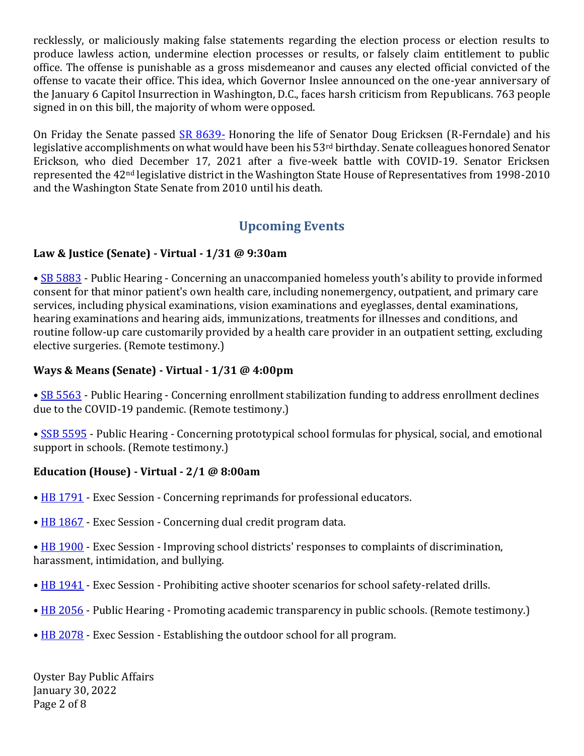recklessly, or maliciously making false statements regarding the election process or election results to produce lawless action, undermine election processes or results, or falsely claim entitlement to public office. The offense is punishable as a gross misdemeanor and causes any elected official convicted of the offense to vacate their office. This idea, which Governor Inslee announced on the one-year anniversary of the January 6 Capitol Insurrection in Washington, D.C., faces harsh criticism from Republicans. 763 people signed in on this bill, the majority of whom were opposed.

On Friday the Senate passed [SR 8639-](https://app.leg.wa.gov/billsummary?BillNumber=8639&Year=2021&Initiative=false) Honoring the life of Senator Doug Ericksen (R-Ferndale) and his legislative accomplishments on what would have been his 53rd birthday. Senate colleagues honored Senator Erickson, who died December 17, 2021 after a five-week battle with COVID-19. Senator Ericksen represented the 42nd legislative district in the Washington State House of Representatives from 1998-2010 and the Washington State Senate from 2010 until his death.

# **Upcoming Events**

## **Law & Justice (Senate) - Virtual - 1/31 @ 9:30am**

• [SB 5883](https://app.leg.wa.gov/billsummary?Year=2021&BillNumber=5883) - Public Hearing - Concerning an unaccompanied homeless youth's ability to provide informed consent for that minor patient's own health care, including nonemergency, outpatient, and primary care services, including physical examinations, vision examinations and eyeglasses, dental examinations, hearing examinations and hearing aids, immunizations, treatments for illnesses and conditions, and routine follow-up care customarily provided by a health care provider in an outpatient setting, excluding elective surgeries. (Remote testimony.)

#### **Ways & Means (Senate) - Virtual - 1/31 @ 4:00pm**

• [SB 5563](https://app.leg.wa.gov/billsummary?Year=2021&BillNumber=5563) - Public Hearing - Concerning enrollment stabilization funding to address enrollment declines due to the COVID-19 pandemic. (Remote testimony.)

• [SSB 5595](https://app.leg.wa.gov/billsummary?Year=2021&BillNumber=5595) - Public Hearing - Concerning prototypical school formulas for physical, social, and emotional support in schools. (Remote testimony.)

## **Education (House) - Virtual - 2/1 @ 8:00am**

- [HB 1791](https://app.leg.wa.gov/billsummary?Year=2021&BillNumber=1791) Exec Session Concerning reprimands for professional educators.
- [HB 1867](https://app.leg.wa.gov/billsummary?Year=2021&BillNumber=1867) Exec Session Concerning dual credit program data.

• [HB 1900](https://app.leg.wa.gov/billsummary?Year=2021&BillNumber=1900) - Exec Session - Improving school districts' responses to complaints of discrimination, harassment, intimidation, and bullying.

- [HB 1941](https://app.leg.wa.gov/billsummary?Year=2021&BillNumber=1941) Exec Session Prohibiting active shooter scenarios for school safety-related drills.
- [HB 2056](https://app.leg.wa.gov/billsummary?Year=2021&BillNumber=2056) Public Hearing Promoting academic transparency in public schools. (Remote testimony.)
- [HB 2078](https://app.leg.wa.gov/billsummary?Year=2021&BillNumber=2078) Exec Session Establishing the outdoor school for all program.

Oyster Bay Public Affairs January 30, 2022 Page 2 of 8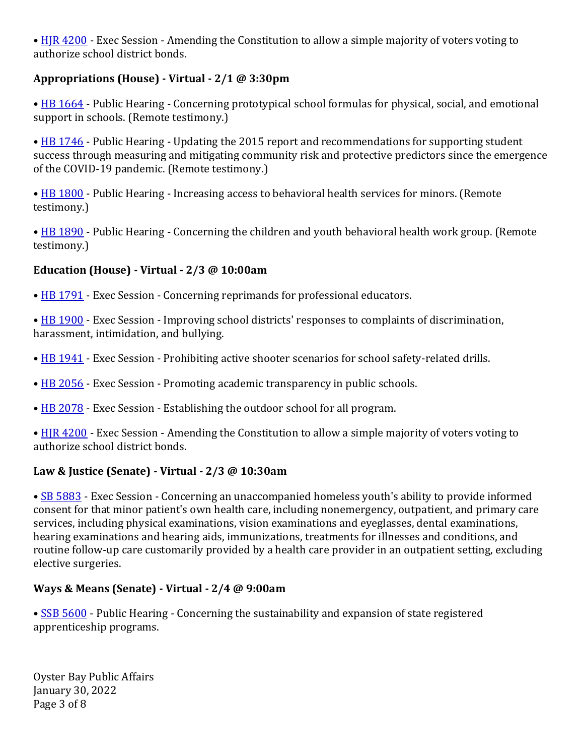• [HJR 4200](https://app.leg.wa.gov/billsummary?Year=2021&BillNumber=4200) - Exec Session - Amending the Constitution to allow a simple majority of voters voting to authorize school district bonds.

### **Appropriations (House) - Virtual - 2/1 @ 3:30pm**

• [HB 1664](https://app.leg.wa.gov/billsummary?Year=2021&BillNumber=1664) - Public Hearing - Concerning prototypical school formulas for physical, social, and emotional support in schools. (Remote testimony.)

• [HB 1746](https://app.leg.wa.gov/billsummary?Year=2021&BillNumber=1746) - Public Hearing - Updating the 2015 report and recommendations for supporting student success through measuring and mitigating community risk and protective predictors since the emergence of the COVID-19 pandemic. (Remote testimony.)

• [HB 1800](https://app.leg.wa.gov/billsummary?Year=2021&BillNumber=1800) - Public Hearing - Increasing access to behavioral health services for minors. (Remote testimony.)

• [HB 1890](https://app.leg.wa.gov/billsummary?Year=2021&BillNumber=1890) - Public Hearing - Concerning the children and youth behavioral health work group. (Remote testimony.)

#### **Education (House) - Virtual - 2/3 @ 10:00am**

• [HB 1791](https://app.leg.wa.gov/billsummary?Year=2021&BillNumber=1791) - Exec Session - Concerning reprimands for professional educators.

• [HB 1900](https://app.leg.wa.gov/billsummary?Year=2021&BillNumber=1900) - Exec Session - Improving school districts' responses to complaints of discrimination, harassment, intimidation, and bullying.

- [HB 1941](https://app.leg.wa.gov/billsummary?Year=2021&BillNumber=1941) Exec Session Prohibiting active shooter scenarios for school safety-related drills.
- [HB 2056](https://app.leg.wa.gov/billsummary?Year=2021&BillNumber=2056) Exec Session Promoting academic transparency in public schools.
- [HB 2078](https://app.leg.wa.gov/billsummary?Year=2021&BillNumber=2078) Exec Session Establishing the outdoor school for all program.

• [HJR 4200](https://app.leg.wa.gov/billsummary?Year=2021&BillNumber=4200) - Exec Session - Amending the Constitution to allow a simple majority of voters voting to authorize school district bonds.

#### **Law & Justice (Senate) - Virtual - 2/3 @ 10:30am**

• [SB 5883](https://app.leg.wa.gov/billsummary?Year=2021&BillNumber=5883) - Exec Session - Concerning an unaccompanied homeless youth's ability to provide informed consent for that minor patient's own health care, including nonemergency, outpatient, and primary care services, including physical examinations, vision examinations and eyeglasses, dental examinations, hearing examinations and hearing aids, immunizations, treatments for illnesses and conditions, and routine follow-up care customarily provided by a health care provider in an outpatient setting, excluding elective surgeries.

#### **Ways & Means (Senate) - Virtual - 2/4 @ 9:00am**

• [SSB 5600](https://app.leg.wa.gov/billsummary?Year=2021&BillNumber=5600) - Public Hearing - Concerning the sustainability and expansion of state registered apprenticeship programs.

Oyster Bay Public Affairs January 30, 2022 Page 3 of 8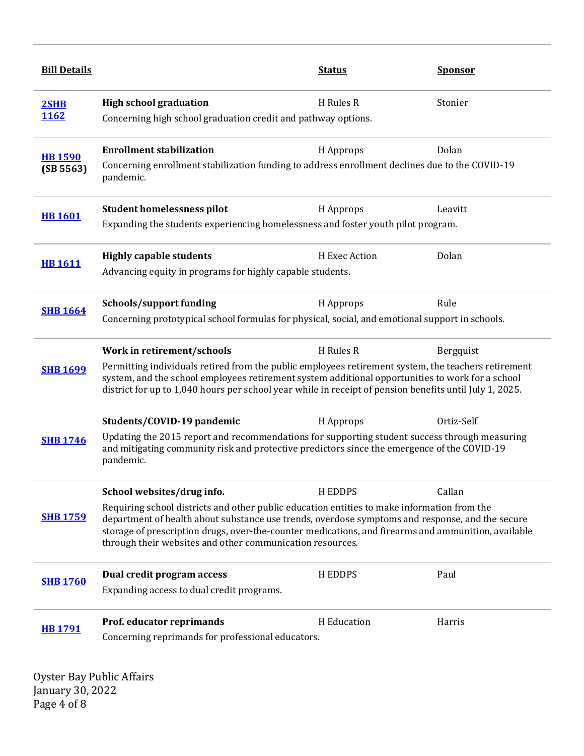| <b>High school graduation</b><br>H Rules R<br>Stonier<br>2SHB<br>1162<br>Concerning high school graduation credit and pathway options.<br><b>Enrollment stabilization</b><br>Dolan<br>H Approps<br><b>HB 1590</b><br>Concerning enrollment stabilization funding to address enrollment declines due to the COVID-19<br>(SB 5563)<br>pandemic.<br><b>Student homelessness pilot</b><br>H Approps<br>Leavitt<br><b>HB1601</b><br>Expanding the students experiencing homelessness and foster youth pilot program.<br>Dolan<br><b>Highly capable students</b><br>H Exec Action<br><b>HB1611</b><br>Advancing equity in programs for highly capable students.<br>Schools/support funding<br>H Approps<br>Rule<br><b>SHB 1664</b><br>Concerning prototypical school formulas for physical, social, and emotional support in schools.<br>Work in retirement/schools<br>H Rules R<br>Bergquist<br>Permitting individuals retired from the public employees retirement system, the teachers retirement<br><b>SHB 1699</b><br>system, and the school employees retirement system additional opportunities to work for a school<br>district for up to 1,040 hours per school year while in receipt of pension benefits until July 1, 2025.<br>Ortiz-Self<br>Students/COVID-19 pandemic<br>H Approps<br>Updating the 2015 report and recommendations for supporting student success through measuring<br><b>SHB 1746</b><br>and mitigating community risk and protective predictors since the emergence of the COVID-19<br>pandemic.<br>School websites/drug info.<br><b>HEDDPS</b><br>Callan<br>Requiring school districts and other public education entities to make information from the<br><b>SHB 1759</b><br>department of health about substance use trends, overdose symptoms and response, and the secure<br>storage of prescription drugs, over-the-counter medications, and firearms and ammunition, available<br>through their websites and other communication resources.<br>Dual credit program access<br><b>HEDDPS</b><br>Paul<br><b>SHB 1760</b><br>Expanding access to dual credit programs.<br>Prof. educator reprimands<br>H Education<br>Harris | <b>Bill Details</b> |  | <u>Status</u> | <b>Sponsor</b> |
|----------------------------------------------------------------------------------------------------------------------------------------------------------------------------------------------------------------------------------------------------------------------------------------------------------------------------------------------------------------------------------------------------------------------------------------------------------------------------------------------------------------------------------------------------------------------------------------------------------------------------------------------------------------------------------------------------------------------------------------------------------------------------------------------------------------------------------------------------------------------------------------------------------------------------------------------------------------------------------------------------------------------------------------------------------------------------------------------------------------------------------------------------------------------------------------------------------------------------------------------------------------------------------------------------------------------------------------------------------------------------------------------------------------------------------------------------------------------------------------------------------------------------------------------------------------------------------------------------------------------------------------------------------------------------------------------------------------------------------------------------------------------------------------------------------------------------------------------------------------------------------------------------------------------------------------------------------------------------------------------------------------------------------------------------------------------------------------------------------------------------------------------------------|---------------------|--|---------------|----------------|
|                                                                                                                                                                                                                                                                                                                                                                                                                                                                                                                                                                                                                                                                                                                                                                                                                                                                                                                                                                                                                                                                                                                                                                                                                                                                                                                                                                                                                                                                                                                                                                                                                                                                                                                                                                                                                                                                                                                                                                                                                                                                                                                                                          |                     |  |               |                |
|                                                                                                                                                                                                                                                                                                                                                                                                                                                                                                                                                                                                                                                                                                                                                                                                                                                                                                                                                                                                                                                                                                                                                                                                                                                                                                                                                                                                                                                                                                                                                                                                                                                                                                                                                                                                                                                                                                                                                                                                                                                                                                                                                          |                     |  |               |                |
|                                                                                                                                                                                                                                                                                                                                                                                                                                                                                                                                                                                                                                                                                                                                                                                                                                                                                                                                                                                                                                                                                                                                                                                                                                                                                                                                                                                                                                                                                                                                                                                                                                                                                                                                                                                                                                                                                                                                                                                                                                                                                                                                                          |                     |  |               |                |
|                                                                                                                                                                                                                                                                                                                                                                                                                                                                                                                                                                                                                                                                                                                                                                                                                                                                                                                                                                                                                                                                                                                                                                                                                                                                                                                                                                                                                                                                                                                                                                                                                                                                                                                                                                                                                                                                                                                                                                                                                                                                                                                                                          |                     |  |               |                |
|                                                                                                                                                                                                                                                                                                                                                                                                                                                                                                                                                                                                                                                                                                                                                                                                                                                                                                                                                                                                                                                                                                                                                                                                                                                                                                                                                                                                                                                                                                                                                                                                                                                                                                                                                                                                                                                                                                                                                                                                                                                                                                                                                          |                     |  |               |                |
|                                                                                                                                                                                                                                                                                                                                                                                                                                                                                                                                                                                                                                                                                                                                                                                                                                                                                                                                                                                                                                                                                                                                                                                                                                                                                                                                                                                                                                                                                                                                                                                                                                                                                                                                                                                                                                                                                                                                                                                                                                                                                                                                                          |                     |  |               |                |
|                                                                                                                                                                                                                                                                                                                                                                                                                                                                                                                                                                                                                                                                                                                                                                                                                                                                                                                                                                                                                                                                                                                                                                                                                                                                                                                                                                                                                                                                                                                                                                                                                                                                                                                                                                                                                                                                                                                                                                                                                                                                                                                                                          |                     |  |               |                |
|                                                                                                                                                                                                                                                                                                                                                                                                                                                                                                                                                                                                                                                                                                                                                                                                                                                                                                                                                                                                                                                                                                                                                                                                                                                                                                                                                                                                                                                                                                                                                                                                                                                                                                                                                                                                                                                                                                                                                                                                                                                                                                                                                          |                     |  |               |                |
|                                                                                                                                                                                                                                                                                                                                                                                                                                                                                                                                                                                                                                                                                                                                                                                                                                                                                                                                                                                                                                                                                                                                                                                                                                                                                                                                                                                                                                                                                                                                                                                                                                                                                                                                                                                                                                                                                                                                                                                                                                                                                                                                                          |                     |  |               |                |
| Concerning reprimands for professional educators.                                                                                                                                                                                                                                                                                                                                                                                                                                                                                                                                                                                                                                                                                                                                                                                                                                                                                                                                                                                                                                                                                                                                                                                                                                                                                                                                                                                                                                                                                                                                                                                                                                                                                                                                                                                                                                                                                                                                                                                                                                                                                                        | <b>HB1791</b>       |  |               |                |

Oyster Bay Public Affairs January 30, 2022 Page 4 of 8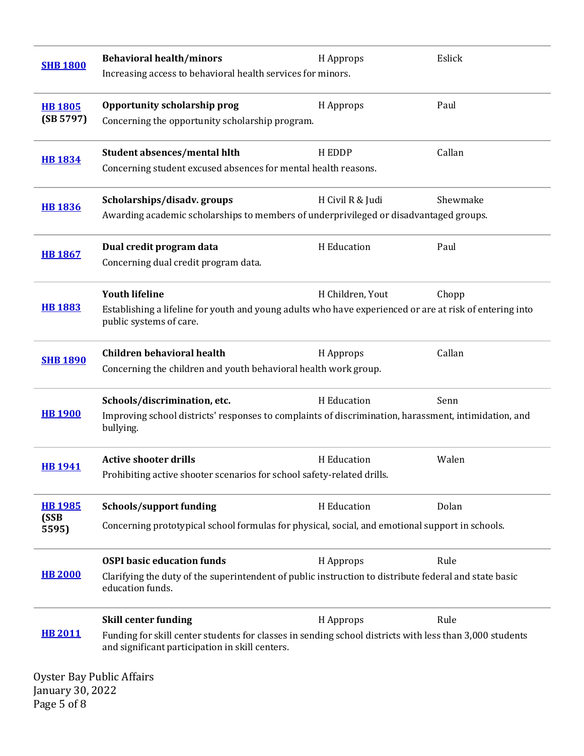| <b>SHB 1800</b>                    | <b>Behavioral health/minors</b><br>Increasing access to behavioral health services for minors.                                                                                                                         | H Approps        | Eslick   |
|------------------------------------|------------------------------------------------------------------------------------------------------------------------------------------------------------------------------------------------------------------------|------------------|----------|
| <b>HB 1805</b><br>(SB 5797)        | Opportunity scholarship prog<br>Concerning the opportunity scholarship program.                                                                                                                                        | H Approps        | Paul     |
| <b>HB 1834</b>                     | <b>Student absences/mental hlth</b><br>Concerning student excused absences for mental health reasons.                                                                                                                  | H EDDP           | Callan   |
| <b>HB1836</b>                      | Scholarships/disadv.groups<br>Awarding academic scholarships to members of underprivileged or disadvantaged groups.                                                                                                    | H Civil R & Judi | Shewmake |
| <b>HB 1867</b>                     | Dual credit program data<br>Concerning dual credit program data.                                                                                                                                                       | H Education      | Paul     |
| <b>HB 1883</b>                     | <b>Youth lifeline</b><br>Establishing a lifeline for youth and young adults who have experienced or are at risk of entering into<br>public systems of care.                                                            | H Children, Yout | Chopp    |
| <b>SHB 1890</b>                    | <b>Children behavioral health</b><br>Concerning the children and youth behavioral health work group.                                                                                                                   | H Approps        | Callan   |
| <b>HB 1900</b>                     | Schools/discrimination, etc.<br>Improving school districts' responses to complaints of discrimination, harassment, intimidation, and<br>bullying.                                                                      | H Education      | Senn     |
| <b>HB1941</b>                      | <b>Active shooter drills</b><br>Prohibiting active shooter scenarios for school safety-related drills.                                                                                                                 | H Education      | Walen    |
| <b>HB1985</b><br>(SSB<br>5595)     | <b>Schools/support funding</b><br>Concerning prototypical school formulas for physical, social, and emotional support in schools.                                                                                      | H Education      | Dolan    |
| <b>HB 2000</b>                     | <b>OSPI</b> basic education funds<br>Clarifying the duty of the superintendent of public instruction to distribute federal and state basic<br>education funds.                                                         | H Approps        | Rule     |
| <b>HB 2011</b><br>January 30, 2022 | <b>Skill center funding</b><br>Funding for skill center students for classes in sending school districts with less than 3,000 students<br>and significant participation in skill centers.<br>Oyster Bay Public Affairs | H Approps        | Rule     |

Page 5 of 8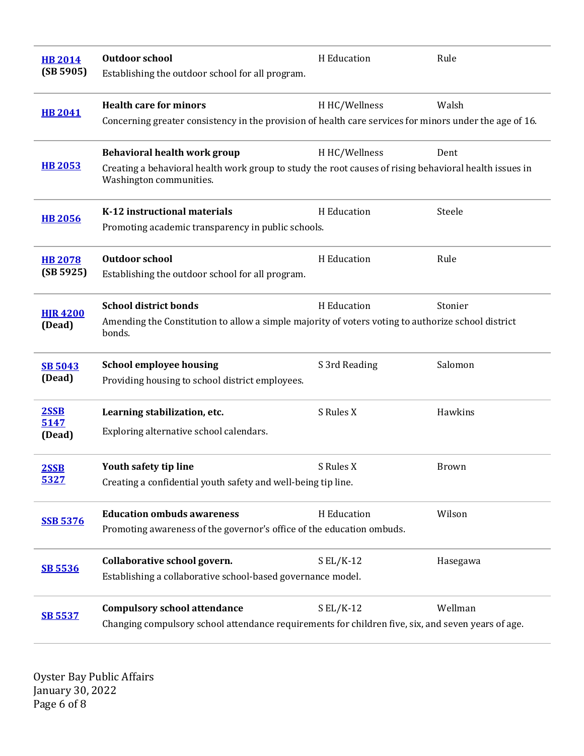| <b>HB 2014</b><br>(SB 5905) | <b>Outdoor school</b><br>Establishing the outdoor school for all program.                                                                                              | H Education   | Rule         |
|-----------------------------|------------------------------------------------------------------------------------------------------------------------------------------------------------------------|---------------|--------------|
| <b>HB 2041</b>              | <b>Health care for minors</b><br>Concerning greater consistency in the provision of health care services for minors under the age of 16.                               | H HC/Wellness | Walsh        |
| <b>HB 2053</b>              | Behavioral health work group<br>Creating a behavioral health work group to study the root causes of rising behavioral health issues in<br>Washington communities.      | H HC/Wellness | Dent         |
| <b>HB 2056</b>              | K-12 instructional materials<br>Promoting academic transparency in public schools.                                                                                     | H Education   | Steele       |
| <b>HB 2078</b><br>(SB 5925) | <b>Outdoor school</b><br>Establishing the outdoor school for all program.                                                                                              | H Education   | Rule         |
| <b>HJR 4200</b><br>(Dead)   | <b>School district bonds</b><br>H Education<br>Stonier<br>Amending the Constitution to allow a simple majority of voters voting to authorize school district<br>bonds. |               |              |
| <b>SB 5043</b><br>(Dead)    | <b>School employee housing</b><br>Providing housing to school district employees.                                                                                      | S 3rd Reading | Salomon      |
| 2SSB<br>5147<br>(Dead)      | Learning stabilization, etc.<br>Exploring alternative school calendars.                                                                                                | S Rules X     | Hawkins      |
| 2SSB<br>5327                | Youth safety tip line<br>Creating a confidential youth safety and well-being tip line.                                                                                 | S Rules X     | <b>Brown</b> |
| <b>SSB 5376</b>             | <b>Education ombuds awareness</b><br>Promoting awareness of the governor's office of the education ombuds.                                                             | H Education   | Wilson       |
| <b>SB 5536</b>              | Collaborative school govern.<br>Establishing a collaborative school-based governance model.                                                                            | $S EL/K-12$   | Hasegawa     |
| <b>SB 5537</b>              | <b>Compulsory school attendance</b><br>Changing compulsory school attendance requirements for children five, six, and seven years of age.                              | $S EL/K-12$   | Wellman      |

Oyster Bay Public Affairs January 30, 2022 Page 6 of 8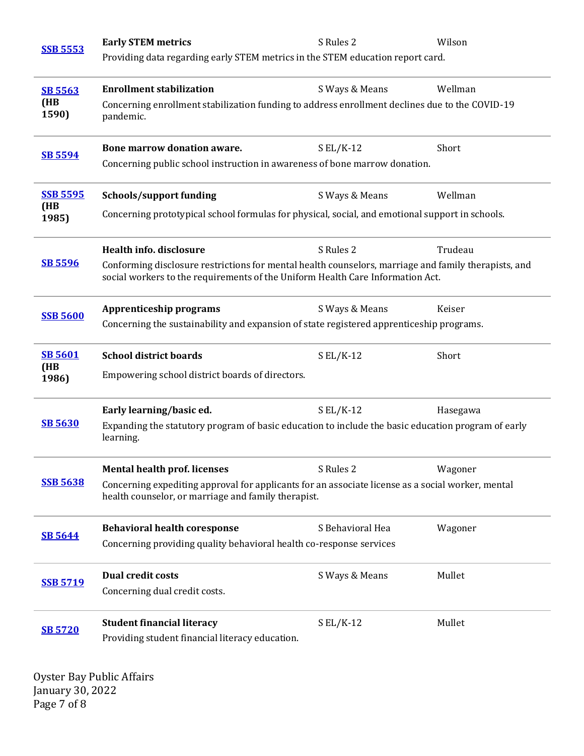| <b>SSB 5553</b> | <b>Early STEM metrics</b>                                                                                                                                                              | S Rules 2        | Wilson   |  |
|-----------------|----------------------------------------------------------------------------------------------------------------------------------------------------------------------------------------|------------------|----------|--|
|                 | Providing data regarding early STEM metrics in the STEM education report card.                                                                                                         |                  |          |  |
| <b>SB 5563</b>  | <b>Enrollment stabilization</b>                                                                                                                                                        | S Ways & Means   | Wellman  |  |
| (HB<br>1590)    | Concerning enrollment stabilization funding to address enrollment declines due to the COVID-19<br>pandemic.                                                                            |                  |          |  |
| <b>SB 5594</b>  | Bone marrow donation aware.                                                                                                                                                            | $S EL/K-12$      | Short    |  |
|                 | Concerning public school instruction in awareness of bone marrow donation.                                                                                                             |                  |          |  |
| <b>SSB 5595</b> | Schools/support funding                                                                                                                                                                | S Ways & Means   | Wellman  |  |
| (HB<br>1985)    | Concerning prototypical school formulas for physical, social, and emotional support in schools.                                                                                        |                  |          |  |
|                 | Health info. disclosure                                                                                                                                                                | S Rules 2        | Trudeau  |  |
| SB 5596         | Conforming disclosure restrictions for mental health counselors, marriage and family therapists, and<br>social workers to the requirements of the Uniform Health Care Information Act. |                  |          |  |
| <b>SSB 5600</b> | <b>Apprenticeship programs</b>                                                                                                                                                         | S Ways & Means   | Keiser   |  |
|                 | Concerning the sustainability and expansion of state registered apprenticeship programs.                                                                                               |                  |          |  |
| <b>SB 5601</b>  | <b>School district boards</b>                                                                                                                                                          | $S EL/K-12$      | Short    |  |
| (HB<br>1986)    | Empowering school district boards of directors.                                                                                                                                        |                  |          |  |
|                 | Early learning/basic ed.                                                                                                                                                               | $S EL/K-12$      | Hasegawa |  |
| <b>SB 5630</b>  | Expanding the statutory program of basic education to include the basic education program of early<br>learning.                                                                        |                  |          |  |
|                 | <b>Mental health prof. licenses</b>                                                                                                                                                    | S Rules 2        | Wagoner  |  |
| <b>SSB 5638</b> | Concerning expediting approval for applicants for an associate license as a social worker, mental<br>health counselor, or marriage and family therapist.                               |                  |          |  |
| <b>SB 5644</b>  | <b>Behavioral health coresponse</b>                                                                                                                                                    | S Behavioral Hea | Wagoner  |  |
|                 | Concerning providing quality behavioral health co-response services                                                                                                                    |                  |          |  |
| <b>SSB 5719</b> | <b>Dual credit costs</b>                                                                                                                                                               | S Ways & Means   | Mullet   |  |
|                 | Concerning dual credit costs.                                                                                                                                                          |                  |          |  |
| <b>SB 5720</b>  | <b>Student financial literacy</b>                                                                                                                                                      | $S EL/K-12$      | Mullet   |  |
|                 | Providing student financial literacy education.                                                                                                                                        |                  |          |  |

Oyster Bay Public Affairs January 30, 2022 Page 7 of 8